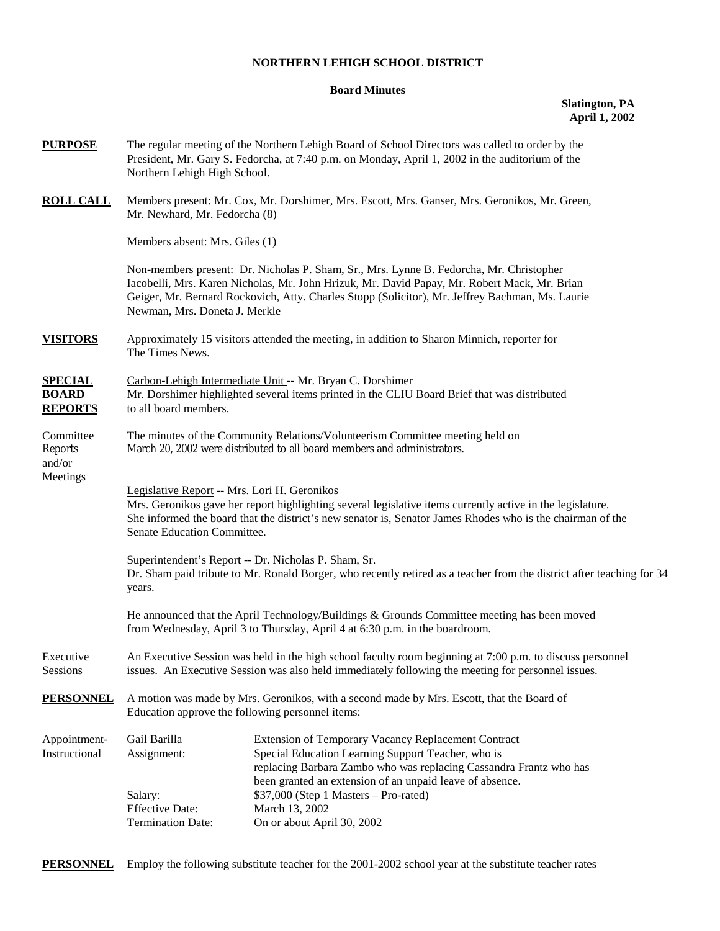## **NORTHERN LEHIGH SCHOOL DISTRICT**

#### **Board Minutes**

## **Slatington, PA April 1, 2002**

| <b>PURPOSE</b>                                    | Northern Lehigh High School.                                                                                                                                                                                                                                                                                                | The regular meeting of the Northern Lehigh Board of School Directors was called to order by the<br>President, Mr. Gary S. Fedorcha, at 7:40 p.m. on Monday, April 1, 2002 in the auditorium of the |  |  |  |
|---------------------------------------------------|-----------------------------------------------------------------------------------------------------------------------------------------------------------------------------------------------------------------------------------------------------------------------------------------------------------------------------|----------------------------------------------------------------------------------------------------------------------------------------------------------------------------------------------------|--|--|--|
| <b>ROLL CALL</b>                                  | Mr. Newhard, Mr. Fedorcha (8)                                                                                                                                                                                                                                                                                               | Members present: Mr. Cox, Mr. Dorshimer, Mrs. Escott, Mrs. Ganser, Mrs. Geronikos, Mr. Green,                                                                                                      |  |  |  |
|                                                   | Members absent: Mrs. Giles (1)                                                                                                                                                                                                                                                                                              |                                                                                                                                                                                                    |  |  |  |
|                                                   | Non-members present: Dr. Nicholas P. Sham, Sr., Mrs. Lynne B. Fedorcha, Mr. Christopher<br>Iacobelli, Mrs. Karen Nicholas, Mr. John Hrizuk, Mr. David Papay, Mr. Robert Mack, Mr. Brian<br>Geiger, Mr. Bernard Rockovich, Atty. Charles Stopp (Solicitor), Mr. Jeffrey Bachman, Ms. Laurie<br>Newman, Mrs. Doneta J. Merkle |                                                                                                                                                                                                    |  |  |  |
| <b>VISITORS</b>                                   | The Times News.                                                                                                                                                                                                                                                                                                             | Approximately 15 visitors attended the meeting, in addition to Sharon Minnich, reporter for                                                                                                        |  |  |  |
| <b>SPECIAL</b><br><b>BOARD</b><br><b>REPORTS</b>  | Carbon-Lehigh Intermediate Unit -- Mr. Bryan C. Dorshimer<br>Mr. Dorshimer highlighted several items printed in the CLIU Board Brief that was distributed<br>to all board members.                                                                                                                                          |                                                                                                                                                                                                    |  |  |  |
| Committee<br><b>Reports</b><br>and/or<br>Meetings | The minutes of the Community Relations/Volunteerism Committee meeting held on<br>March 20, 2002 were distributed to all board members and administrators.                                                                                                                                                                   |                                                                                                                                                                                                    |  |  |  |
|                                                   | Legislative Report -- Mrs. Lori H. Geronikos<br>Mrs. Geronikos gave her report highlighting several legislative items currently active in the legislature.<br>She informed the board that the district's new senator is, Senator James Rhodes who is the chairman of the<br>Senate Education Committee.                     |                                                                                                                                                                                                    |  |  |  |
|                                                   | Superintendent's Report -- Dr. Nicholas P. Sham, Sr.<br>Dr. Sham paid tribute to Mr. Ronald Borger, who recently retired as a teacher from the district after teaching for 34<br>years.                                                                                                                                     |                                                                                                                                                                                                    |  |  |  |
|                                                   | He announced that the April Technology/Buildings & Grounds Committee meeting has been moved<br>from Wednesday, April 3 to Thursday, April 4 at 6:30 p.m. in the boardroom.                                                                                                                                                  |                                                                                                                                                                                                    |  |  |  |
| Executive<br>Sessions                             | An Executive Session was held in the high school faculty room beginning at 7:00 p.m. to discuss personnel<br>issues. An Executive Session was also held immediately following the meeting for personnel issues.                                                                                                             |                                                                                                                                                                                                    |  |  |  |
| <b>PERSONNEL</b>                                  | A motion was made by Mrs. Geronikos, with a second made by Mrs. Escott, that the Board of<br>Education approve the following personnel items:                                                                                                                                                                               |                                                                                                                                                                                                    |  |  |  |
| Appointment-<br>Instructional                     | Gail Barilla<br>Assignment:                                                                                                                                                                                                                                                                                                 | Extension of Temporary Vacancy Replacement Contract<br>Special Education Learning Support Teacher, who is<br>replacing Barbara Zambo who was replacing Cassandra Frantz who has                    |  |  |  |
|                                                   | Salary:<br><b>Effective Date:</b><br><b>Termination Date:</b>                                                                                                                                                                                                                                                               | been granted an extension of an unpaid leave of absence.<br>\$37,000 (Step 1 Masters - Pro-rated)<br>March 13, 2002<br>On or about April 30, 2002                                                  |  |  |  |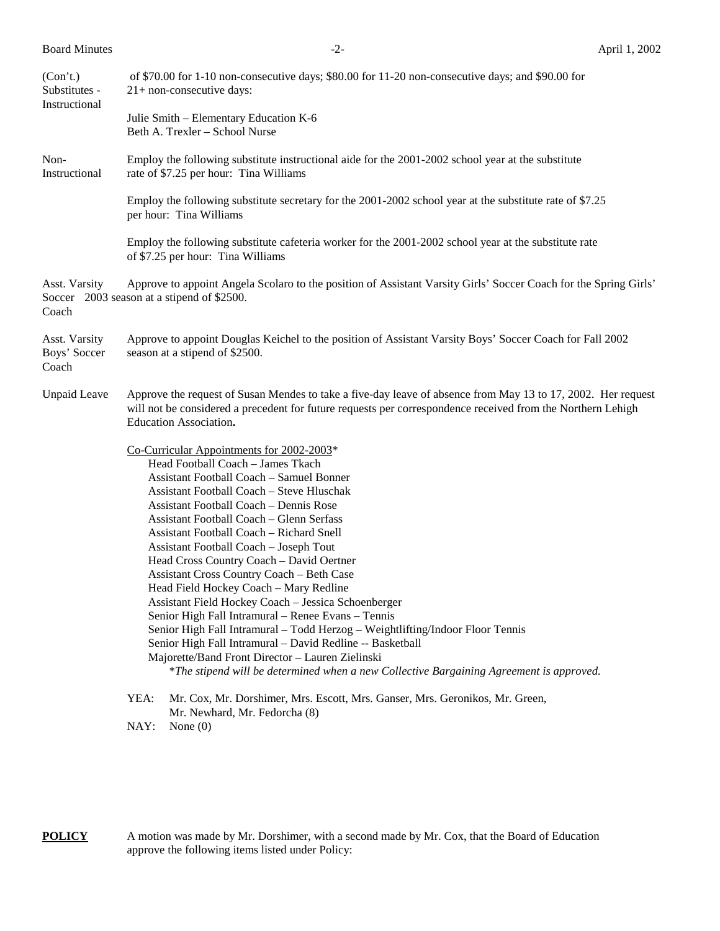| <b>Board Minutes</b>                       |                                                                                                                                                                                                                                                                                                                                                                                                                                                                                                                                                                                                                                                                                                                                                                                                                                                                                                                | $-2-$                                                                                                                                                                                                                                                 | April 1, 2002 |  |  |
|--------------------------------------------|----------------------------------------------------------------------------------------------------------------------------------------------------------------------------------------------------------------------------------------------------------------------------------------------------------------------------------------------------------------------------------------------------------------------------------------------------------------------------------------------------------------------------------------------------------------------------------------------------------------------------------------------------------------------------------------------------------------------------------------------------------------------------------------------------------------------------------------------------------------------------------------------------------------|-------------------------------------------------------------------------------------------------------------------------------------------------------------------------------------------------------------------------------------------------------|---------------|--|--|
| (Con't.)<br>Substitutes -<br>Instructional |                                                                                                                                                                                                                                                                                                                                                                                                                                                                                                                                                                                                                                                                                                                                                                                                                                                                                                                | of \$70.00 for 1-10 non-consecutive days; \$80.00 for 11-20 non-consecutive days; and \$90.00 for<br>$21+$ non-consecutive days:                                                                                                                      |               |  |  |
|                                            |                                                                                                                                                                                                                                                                                                                                                                                                                                                                                                                                                                                                                                                                                                                                                                                                                                                                                                                | Julie Smith - Elementary Education K-6<br>Beth A. Trexler - School Nurse                                                                                                                                                                              |               |  |  |
| Non-<br>Instructional                      |                                                                                                                                                                                                                                                                                                                                                                                                                                                                                                                                                                                                                                                                                                                                                                                                                                                                                                                | Employ the following substitute instructional aide for the 2001-2002 school year at the substitute<br>rate of \$7.25 per hour: Tina Williams                                                                                                          |               |  |  |
|                                            |                                                                                                                                                                                                                                                                                                                                                                                                                                                                                                                                                                                                                                                                                                                                                                                                                                                                                                                | Employ the following substitute secretary for the 2001-2002 school year at the substitute rate of \$7.25<br>per hour: Tina Williams                                                                                                                   |               |  |  |
|                                            |                                                                                                                                                                                                                                                                                                                                                                                                                                                                                                                                                                                                                                                                                                                                                                                                                                                                                                                | Employ the following substitute cafeteria worker for the 2001-2002 school year at the substitute rate<br>of \$7.25 per hour: Tina Williams                                                                                                            |               |  |  |
| Asst. Varsity<br>Coach                     |                                                                                                                                                                                                                                                                                                                                                                                                                                                                                                                                                                                                                                                                                                                                                                                                                                                                                                                | Approve to appoint Angela Scolaro to the position of Assistant Varsity Girls' Soccer Coach for the Spring Girls'<br>Soccer 2003 season at a stipend of \$2500.                                                                                        |               |  |  |
| Asst. Varsity<br>Boys' Soccer<br>Coach     | Approve to appoint Douglas Keichel to the position of Assistant Varsity Boys' Soccer Coach for Fall 2002<br>season at a stipend of \$2500.                                                                                                                                                                                                                                                                                                                                                                                                                                                                                                                                                                                                                                                                                                                                                                     |                                                                                                                                                                                                                                                       |               |  |  |
| <b>Unpaid Leave</b>                        |                                                                                                                                                                                                                                                                                                                                                                                                                                                                                                                                                                                                                                                                                                                                                                                                                                                                                                                | Approve the request of Susan Mendes to take a five-day leave of absence from May 13 to 17, 2002. Her request<br>will not be considered a precedent for future requests per correspondence received from the Northern Lehigh<br>Education Association. |               |  |  |
|                                            | Co-Curricular Appointments for 2002-2003*<br>Head Football Coach - James Tkach<br><b>Assistant Football Coach - Samuel Bonner</b><br>Assistant Football Coach - Steve Hluschak<br>Assistant Football Coach – Dennis Rose<br>Assistant Football Coach – Glenn Serfass<br>Assistant Football Coach - Richard Snell<br>Assistant Football Coach - Joseph Tout<br>Head Cross Country Coach - David Oertner<br><b>Assistant Cross Country Coach - Beth Case</b><br>Head Field Hockey Coach - Mary Redline<br>Assistant Field Hockey Coach - Jessica Schoenberger<br>Senior High Fall Intramural - Renee Evans - Tennis<br>Senior High Fall Intramural - Todd Herzog - Weightlifting/Indoor Floor Tennis<br>Senior High Fall Intramural - David Redline -- Basketball<br>Majorette/Band Front Director - Lauren Zielinski<br>*The stipend will be determined when a new Collective Bargaining Agreement is approved. |                                                                                                                                                                                                                                                       |               |  |  |
|                                            | YEA:<br>NAY:                                                                                                                                                                                                                                                                                                                                                                                                                                                                                                                                                                                                                                                                                                                                                                                                                                                                                                   | Mr. Cox, Mr. Dorshimer, Mrs. Escott, Mrs. Ganser, Mrs. Geronikos, Mr. Green,<br>Mr. Newhard, Mr. Fedorcha (8)<br>None $(0)$                                                                                                                           |               |  |  |

**POLICY** A motion was made by Mr. Dorshimer, with a second made by Mr. Cox, that the Board of Education approve the following items listed under Policy: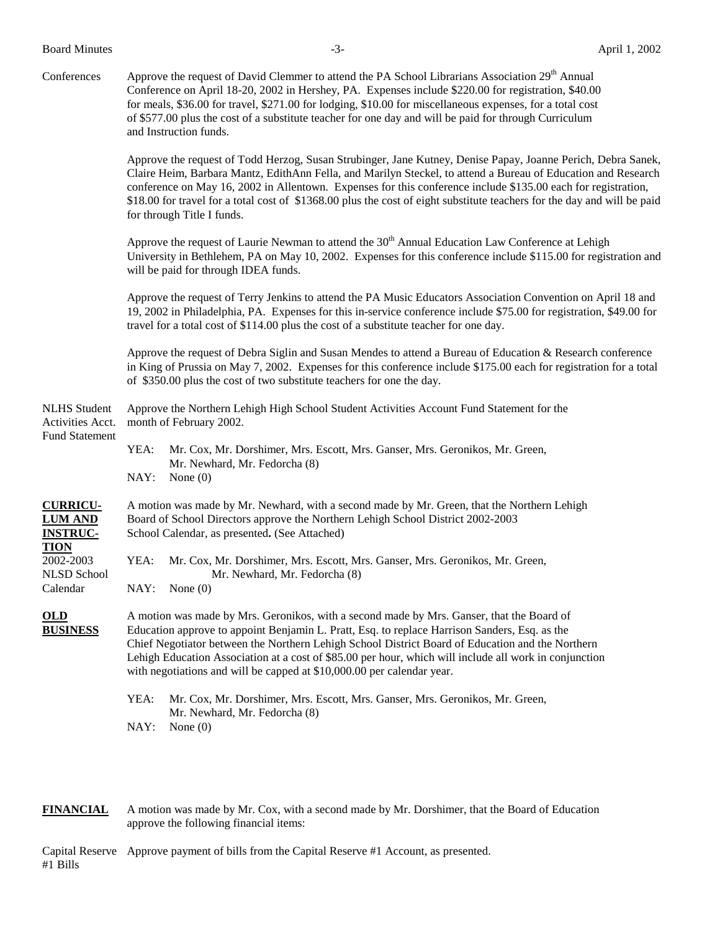Board Minutes **-3**- April 1, 2002

Conferences Approve the request of David Clemmer to attend the PA School Librarians Association 29<sup>th</sup> Annual Conference on April 18-20, 2002 in Hershey, PA. Expenses include \$220.00 for registration, \$40.00 for meals, \$36.00 for travel, \$271.00 for lodging, \$10.00 for miscellaneous expenses, for a total cost of \$577.00 plus the cost of a substitute teacher for one day and will be paid for through Curriculum and Instruction funds.

> Approve the request of Todd Herzog, Susan Strubinger, Jane Kutney, Denise Papay, Joanne Perich, Debra Sanek, Claire Heim, Barbara Mantz, EdithAnn Fella, and Marilyn Steckel, to attend a Bureau of Education and Research conference on May 16, 2002 in Allentown. Expenses for this conference include \$135.00 each for registration, \$18.00 for travel for a total cost of \$1368.00 plus the cost of eight substitute teachers for the day and will be paid for through Title I funds.

> Approve the request of Laurie Newman to attend the  $30<sup>th</sup>$  Annual Education Law Conference at Lehigh University in Bethlehem, PA on May 10, 2002. Expenses for this conference include \$115.00 for registration and will be paid for through IDEA funds.

> Approve the request of Terry Jenkins to attend the PA Music Educators Association Convention on April 18 and 19, 2002 in Philadelphia, PA. Expenses for this in-service conference include \$75.00 for registration, \$49.00 for travel for a total cost of \$114.00 plus the cost of a substitute teacher for one day.

> Approve the request of Debra Siglin and Susan Mendes to attend a Bureau of Education & Research conference in King of Prussia on May 7, 2002. Expenses for this conference include \$175.00 each for registration for a total of \$350.00 plus the cost of two substitute teachers for one the day.

| <b>NLHS</b> Student<br>Activities Acct.<br><b>Fund Statement</b>    | Approve the Northern Lehigh High School Student Activities Account Fund Statement for the<br>month of February 2002.                                                                                                                                                                                                                                                                                                                                                               |  |  |  |
|---------------------------------------------------------------------|------------------------------------------------------------------------------------------------------------------------------------------------------------------------------------------------------------------------------------------------------------------------------------------------------------------------------------------------------------------------------------------------------------------------------------------------------------------------------------|--|--|--|
|                                                                     | Mr. Cox, Mr. Dorshimer, Mrs. Escott, Mrs. Ganser, Mrs. Geronikos, Mr. Green,<br>YEA:<br>Mr. Newhard, Mr. Fedorcha (8)                                                                                                                                                                                                                                                                                                                                                              |  |  |  |
|                                                                     | NAY:<br>None $(0)$                                                                                                                                                                                                                                                                                                                                                                                                                                                                 |  |  |  |
| <b>CURRICU-</b><br><b>LUM AND</b><br><b>INSTRUC-</b><br><b>TION</b> | A motion was made by Mr. Newhard, with a second made by Mr. Green, that the Northern Lehigh<br>Board of School Directors approve the Northern Lehigh School District 2002-2003<br>School Calendar, as presented. (See Attached)                                                                                                                                                                                                                                                    |  |  |  |
| 2002-2003<br>NLSD School                                            | Mr. Cox, Mr. Dorshimer, Mrs. Escott, Mrs. Ganser, Mrs. Geronikos, Mr. Green,<br>YEA:<br>Mr. Newhard, Mr. Fedorcha (8)                                                                                                                                                                                                                                                                                                                                                              |  |  |  |
| Calendar                                                            | NAY:<br>None $(0)$                                                                                                                                                                                                                                                                                                                                                                                                                                                                 |  |  |  |
| <b>OLD</b><br><b>BUSINESS</b>                                       | A motion was made by Mrs. Geronikos, with a second made by Mrs. Ganser, that the Board of<br>Education approve to appoint Benjamin L. Pratt, Esq. to replace Harrison Sanders, Esq. as the<br>Chief Negotiator between the Northern Lehigh School District Board of Education and the Northern<br>Lehigh Education Association at a cost of \$85.00 per hour, which will include all work in conjunction<br>with negotiations and will be capped at \$10,000.00 per calendar year. |  |  |  |
|                                                                     | Mr. Cox, Mr. Dorshimer, Mrs. Escott, Mrs. Ganser, Mrs. Geronikos, Mr. Green,<br>YEA:<br>Mr. Newhard, Mr. Fedorcha (8)                                                                                                                                                                                                                                                                                                                                                              |  |  |  |
|                                                                     | NAY:<br>None $(0)$                                                                                                                                                                                                                                                                                                                                                                                                                                                                 |  |  |  |

**FINANCIAL** A motion was made by Mr. Cox, with a second made by Mr. Dorshimer, that the Board of Education approve the following financial items:

Capital Reserve Approve payment of bills from the Capital Reserve #1 Account, as presented. #1 Bills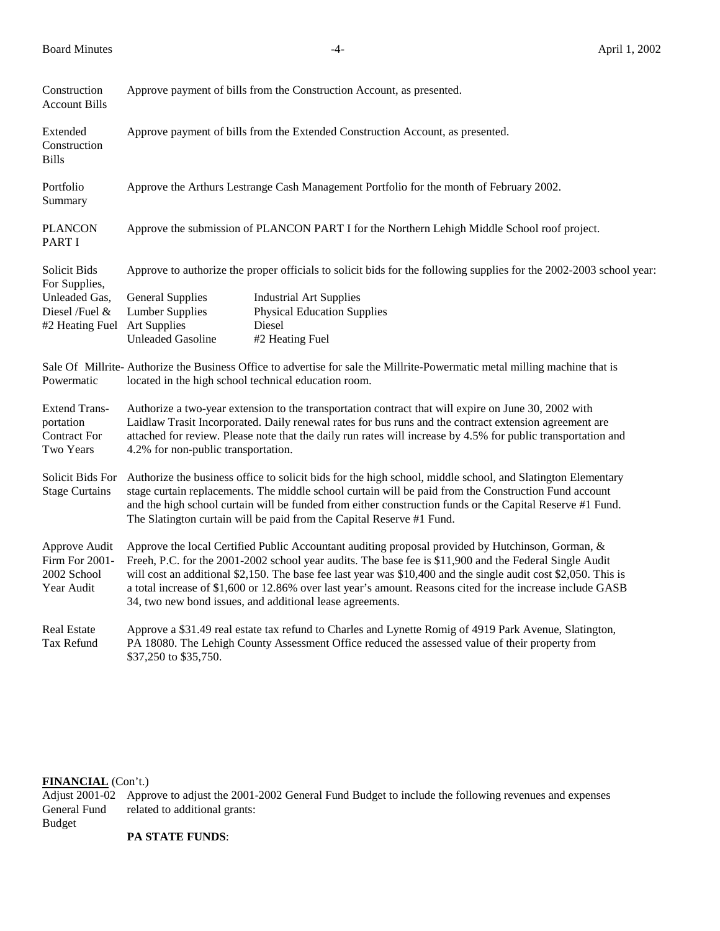| Construction<br><b>Account Bills</b>                                                             | Approve payment of bills from the Construction Account, as presented.                                                                                                                                                                                                                                                                                                                                                                                                                                      |                                                                                                   |  |  |  |
|--------------------------------------------------------------------------------------------------|------------------------------------------------------------------------------------------------------------------------------------------------------------------------------------------------------------------------------------------------------------------------------------------------------------------------------------------------------------------------------------------------------------------------------------------------------------------------------------------------------------|---------------------------------------------------------------------------------------------------|--|--|--|
| Extended<br>Construction<br><b>Bills</b>                                                         | Approve payment of bills from the Extended Construction Account, as presented.                                                                                                                                                                                                                                                                                                                                                                                                                             |                                                                                                   |  |  |  |
| Portfolio<br>Summary                                                                             | Approve the Arthurs Lestrange Cash Management Portfolio for the month of February 2002.                                                                                                                                                                                                                                                                                                                                                                                                                    |                                                                                                   |  |  |  |
| <b>PLANCON</b><br><b>PART I</b>                                                                  | Approve the submission of PLANCON PART I for the Northern Lehigh Middle School roof project.                                                                                                                                                                                                                                                                                                                                                                                                               |                                                                                                   |  |  |  |
| Solicit Bids<br>For Supplies,<br>Unleaded Gas,<br>Diesel /Fuel &<br>#2 Heating Fuel Art Supplies | Approve to authorize the proper officials to solicit bids for the following supplies for the 2002-2003 school year:                                                                                                                                                                                                                                                                                                                                                                                        |                                                                                                   |  |  |  |
|                                                                                                  | <b>General Supplies</b><br><b>Lumber Supplies</b><br><b>Unleaded Gasoline</b>                                                                                                                                                                                                                                                                                                                                                                                                                              | <b>Industrial Art Supplies</b><br><b>Physical Education Supplies</b><br>Diesel<br>#2 Heating Fuel |  |  |  |
| Powermatic                                                                                       | Sale Of Millrite-Authorize the Business Office to advertise for sale the Millrite-Powermatic metal milling machine that is<br>located in the high school technical education room.                                                                                                                                                                                                                                                                                                                         |                                                                                                   |  |  |  |
| <b>Extend Trans-</b><br>portation<br><b>Contract For</b><br>Two Years                            | Authorize a two-year extension to the transportation contract that will expire on June 30, 2002 with<br>Laidlaw Trasit Incorporated. Daily renewal rates for bus runs and the contract extension agreement are<br>attached for review. Please note that the daily run rates will increase by 4.5% for public transportation and<br>4.2% for non-public transportation.                                                                                                                                     |                                                                                                   |  |  |  |
| Solicit Bids For<br><b>Stage Curtains</b>                                                        | Authorize the business office to solicit bids for the high school, middle school, and Slatington Elementary<br>stage curtain replacements. The middle school curtain will be paid from the Construction Fund account<br>and the high school curtain will be funded from either construction funds or the Capital Reserve #1 Fund.<br>The Slatington curtain will be paid from the Capital Reserve #1 Fund.                                                                                                 |                                                                                                   |  |  |  |
| Approve Audit<br>Firm For 2001-<br>2002 School<br>Year Audit                                     | Approve the local Certified Public Accountant auditing proposal provided by Hutchinson, Gorman, &<br>Freeh, P.C. for the 2001-2002 school year audits. The base fee is \$11,900 and the Federal Single Audit<br>will cost an additional \$2,150. The base fee last year was \$10,400 and the single audit cost \$2,050. This is<br>a total increase of \$1,600 or 12.86% over last year's amount. Reasons cited for the increase include GASB<br>34, two new bond issues, and additional lease agreements. |                                                                                                   |  |  |  |
| Real Estate<br>Tax Refund                                                                        | Approve a \$31.49 real estate tax refund to Charles and Lynette Romig of 4919 Park Avenue, Slatington,<br>PA 18080. The Lehigh County Assessment Office reduced the assessed value of their property from<br>\$37,250 to \$35,750.                                                                                                                                                                                                                                                                         |                                                                                                   |  |  |  |

## **FINANCIAL** (Con't.)

Adjust 2001-02 Approve to adjust the 2001-2002 General Fund Budget to include the following revenues and expenses General Fund related to additional grants: related to additional grants: Budget

## **PA STATE FUNDS**: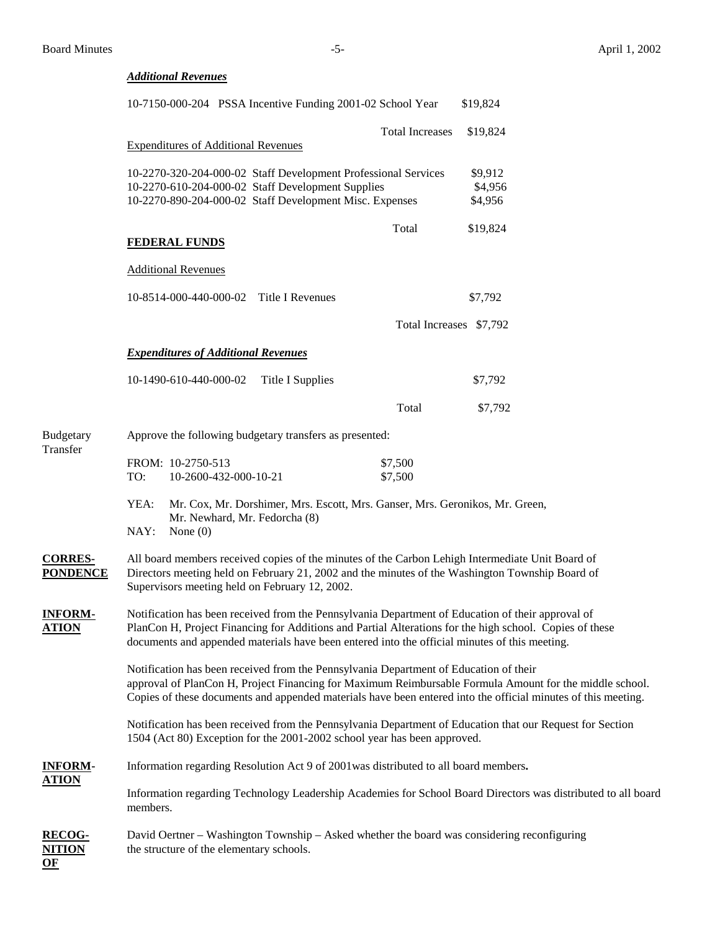**OF**

# *Additional Revenues* 10-7150-000-204 PSSA Incentive Funding 2001-02 School Year \$19,824 Total Increases \$19,824 Expenditures of Additional Revenues 10-2270-320-204-000-02 Staff Development Professional Services \$9,912 10-2270-610-204-000-02 Staff Development Supplies \$4,956 10-2270-890-204-000-02 Staff Development Misc. Expenses \$4,956 Total \$19,824 **FEDERAL FUNDS** Additional Revenues 10-8514-000-440-000-02 Title I Revenues \$7,792 Total Increases \$7,792 *Expenditures of Additional Revenues* 10-1490-610-440-000-02 Title I Supplies \$7,792 Total \$7,792 Budgetary Approve the following budgetary transfers as presented: Transfer FROM: 10-2750-513 \$7,500 TO:  $10-2600-432-000-10-21$  \$7,500 YEA: Mr. Cox, Mr. Dorshimer, Mrs. Escott, Mrs. Ganser, Mrs. Geronikos, Mr. Green, Mr. Newhard, Mr. Fedorcha (8) NAY: None (0) **CORRES-** All board members received copies of the minutes of the Carbon Lehigh Intermediate Unit Board of **PONDENCE** Directors meeting held on February 21, 2002 and the minutes of the Washington Township Board of Supervisors meeting held on February 12, 2002. **INFORM-** Notification has been received from the Pennsylvania Department of Education of their approval of **ATION** PlanCon H, Project Financing for Additions and Partial Alterations for the high school. Copies of these documents and appended materials have been entered into the official minutes of this meeting. Notification has been received from the Pennsylvania Department of Education of their approval of PlanCon H, Project Financing for Maximum Reimbursable Formula Amount for the middle school. Copies of these documents and appended materials have been entered into the official minutes of this meeting. Notification has been received from the Pennsylvania Department of Education that our Request for Section 1504 (Act 80) Exception for the 2001-2002 school year has been approved. **INFORM-** Information regarding Resolution Act 9 of 2001was distributed to all board members**. ATION** Information regarding Technology Leadership Academies for School Board Directors was distributed to all board members. **RECOG-** David Oertner – Washington Township – Asked whether the board was considering reconfiguring **NITION** the structure of the elementary schools.